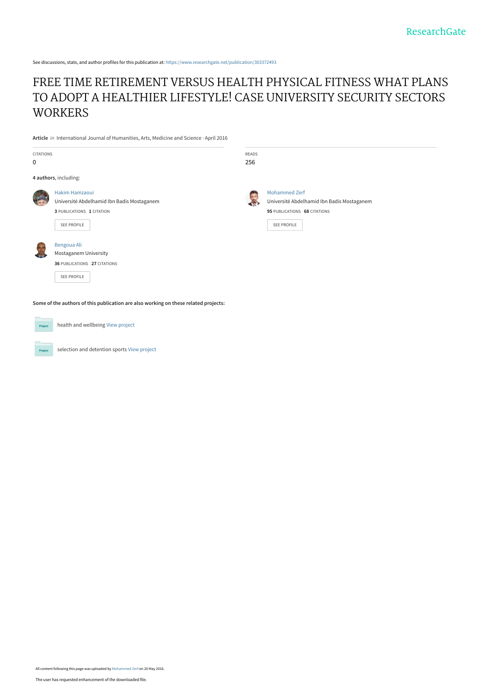See discussions, stats, and author profiles for this publication at: [https://www.researchgate.net/publication/303372493](https://www.researchgate.net/publication/303372493_FREE_TIME_RETIREMENT_VERSUS_HEALTH_PHYSICAL_FITNESS_WHAT_PLANS_TO_ADOPT_A_HEALTHIER_LIFESTYLE_CASE_UNIVERSITY_SECURITY_SECTORS_WORKERS?enrichId=rgreq-0a4d02c5fdf14206256caa653993ddf8-XXX&enrichSource=Y292ZXJQYWdlOzMwMzM3MjQ5MztBUzozNjM3NzYwNTEzMDI0MDBAMTQ2Mzc0MjM3NzE0Mg%3D%3D&el=1_x_2&_esc=publicationCoverPdf)

# [FREE TIME RETIREMENT VERSUS HEALTH PHYSICAL FITNESS WHAT PLANS](https://www.researchgate.net/publication/303372493_FREE_TIME_RETIREMENT_VERSUS_HEALTH_PHYSICAL_FITNESS_WHAT_PLANS_TO_ADOPT_A_HEALTHIER_LIFESTYLE_CASE_UNIVERSITY_SECURITY_SECTORS_WORKERS?enrichId=rgreq-0a4d02c5fdf14206256caa653993ddf8-XXX&enrichSource=Y292ZXJQYWdlOzMwMzM3MjQ5MztBUzozNjM3NzYwNTEzMDI0MDBAMTQ2Mzc0MjM3NzE0Mg%3D%3D&el=1_x_3&_esc=publicationCoverPdf) TO ADOPT A HEALTHIER LIFESTYLE! CASE UNIVERSITY SECURITY SECTORS **WORKERS**

**Article** in International Journal of Humanities, Arts, Medicine and Science · April 2016

| <b>CITATIONS</b><br>0 |                                                                                                          | READS<br>256 |                                                                                                                          |  |  |  |  |  |  |
|-----------------------|----------------------------------------------------------------------------------------------------------|--------------|--------------------------------------------------------------------------------------------------------------------------|--|--|--|--|--|--|
|                       | 4 authors, including:                                                                                    |              |                                                                                                                          |  |  |  |  |  |  |
|                       | Hakim Hamzaoui<br>Université Abdelhamid Ibn Badis Mostaganem<br>3 PUBLICATIONS 1 CITATION<br>SEE PROFILE |              | <b>Mohammed Zerf</b><br>Université Abdelhamid Ibn Badis Mostaganem<br>95 PUBLICATIONS 68 CITATIONS<br><b>SEE PROFILE</b> |  |  |  |  |  |  |
|                       | Bengoua Ali<br>Mostaganem University<br>36 PUBLICATIONS 27 CITATIONS<br><b>SEE PROFILE</b>               |              |                                                                                                                          |  |  |  |  |  |  |
|                       | Some of the authors of this publication are also working on these related projects:                      |              |                                                                                                                          |  |  |  |  |  |  |

**Project** 

selection and detention sports [View project](https://www.researchgate.net/project/selection-and-detention-sports?enrichId=rgreq-0a4d02c5fdf14206256caa653993ddf8-XXX&enrichSource=Y292ZXJQYWdlOzMwMzM3MjQ5MztBUzozNjM3NzYwNTEzMDI0MDBAMTQ2Mzc0MjM3NzE0Mg%3D%3D&el=1_x_9&_esc=publicationCoverPdf)

health and wellbeing [View project](https://www.researchgate.net/project/health-and-wellbeing?enrichId=rgreq-0a4d02c5fdf14206256caa653993ddf8-XXX&enrichSource=Y292ZXJQYWdlOzMwMzM3MjQ5MztBUzozNjM3NzYwNTEzMDI0MDBAMTQ2Mzc0MjM3NzE0Mg%3D%3D&el=1_x_9&_esc=publicationCoverPdf)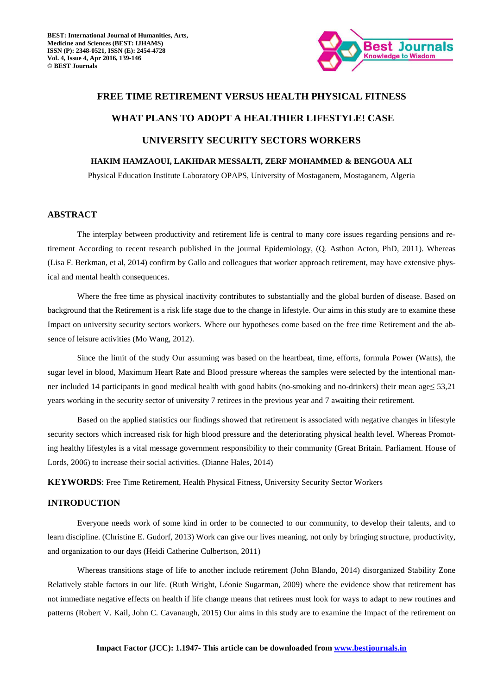

# **FREE TIME RETIREMENT VERSUS HEALTH PHYSICAL FITNESS WHAT PLANS TO ADOPT A HEALTHIER LIFESTYLE! CASE UNIVERSITY SECURITY SECTORS WORKERS**

## **HAKIM HAMZAOUI, LAKHDAR MESSALTI, ZERF MOHAMMED & BENGOUA ALI**

Physical Education Institute Laboratory OPAPS, University of Mostaganem, Mostaganem, Algeria

#### **ABSTRACT**

 The interplay between productivity and retirement life is central to many core issues regarding pensions and retirement According to recent research published in the journal Epidemiology, (Q. Asthon Acton, PhD, 2011). Whereas (Lisa F. Berkman, et al, 2014) confirm by Gallo and colleagues that worker approach retirement, may have extensive physical and mental health consequences.

 Where the free time as physical inactivity contributes to substantially and the global burden of disease. Based on background that the Retirement is a risk life stage due to the change in lifestyle. Our aims in this study are to examine these Impact on university security sectors workers. Where our hypotheses come based on the free time Retirement and the absence of leisure activities (Mo Wang, 2012).

 Since the limit of the study Our assuming was based on the heartbeat, time, efforts, formula Power (Watts), the sugar level in blood, Maximum Heart Rate and Blood pressure whereas the samples were selected by the intentional manner included 14 participants in good medical health with good habits (no-smoking and no-drinkers) their mean age≤ 53,21 years working in the security sector of university 7 retirees in the previous year and 7 awaiting their retirement.

 Based on the applied statistics our findings showed that retirement is associated with negative changes in lifestyle security sectors which increased risk for high blood pressure and the deteriorating physical health level. Whereas Promoting healthy lifestyles is a vital message government responsibility to their community (Great Britain. Parliament. House of Lords, 2006) to increase their social activities. (Dianne Hales, 2014)

**KEYWORDS**: Free Time Retirement, Health Physical Fitness, University Security Sector Workers

#### **INTRODUCTION**

 Everyone needs work of some kind in order to be connected to our community, to develop their talents, and to learn discipline. (Christine E. Gudorf, 2013) Work can give our lives meaning, not only by bringing structure, productivity, and organization to our days (Heidi Catherine Culbertson, 2011)

 Whereas transitions stage of life to another include retirement (John Blando, 2014) disorganized Stability Zone Relatively stable factors in our life. (Ruth Wright, Léonie Sugarman, 2009) where the evidence show that retirement has not immediate negative effects on health if life change means that retirees must look for ways to adapt to new routines and patterns (Robert V. Kail, John C. Cavanaugh, 2015) Our aims in this study are to examine the Impact of the retirement on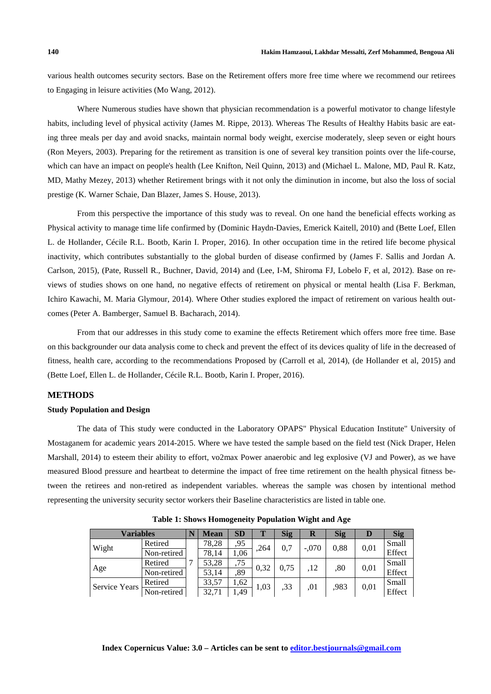various health outcomes security sectors. Base on the Retirement offers more free time where we recommend our retirees to Engaging in leisure activities (Mo Wang, 2012).

 Where Numerous studies have shown that physician recommendation is a powerful motivator to change lifestyle habits, including level of physical activity (James M. Rippe, 2013). Whereas The Results of Healthy Habits basic are eating three meals per day and avoid snacks, maintain normal body weight, exercise moderately, sleep seven or eight hours (Ron Meyers, 2003). Preparing for the retirement as transition is one of several key transition points over the life-course, which can have an impact on people's health (Lee Knifton, Neil Quinn, 2013) and (Michael L. Malone, MD, Paul R. Katz, MD, Mathy Mezey, 2013) whether Retirement brings with it not only the diminution in income, but also the loss of social prestige (K. Warner Schaie, Dan Blazer, James S. House, 2013).

 From this perspective the importance of this study was to reveal. On one hand the beneficial effects working as Physical activity to manage time life confirmed by (Dominic Haydn-Davies, Emerick Kaitell, 2010) and (Bette Loef, Ellen L. de Hollander, Cécile R.L. Bootb, Karin I. Proper, 2016). In other occupation time in the retired life become physical inactivity, which contributes substantially to the global burden of disease confirmed by (James F. Sallis and Jordan A. Carlson, 2015), (Pate, Russell R., Buchner, David, 2014) and (Lee, I-M, Shiroma FJ, Lobelo F, et al, 2012). Base on reviews of studies shows on one hand, no negative effects of retirement on physical or mental health (Lisa F. Berkman, Ichiro Kawachi, M. Maria Glymour, 2014). Where Other studies explored the impact of retirement on various health outcomes (Peter A. Bamberger, Samuel B. Bacharach, 2014).

 From that our addresses in this study come to examine the effects Retirement which offers more free time. Base on this backgrounder our data analysis come to check and prevent the effect of its devices quality of life in the decreased of fitness, health care, according to the recommendations Proposed by (Carroll et al, 2014), (de Hollander et al, 2015) and (Bette Loef, Ellen L. de Hollander, Cécile R.L. Bootb, Karin I. Proper, 2016).

## **METHODS**

#### **Study Population and Design**

 The data of This study were conducted in the Laboratory OPAPS" Physical Education Institute" University of Mostaganem for academic years 2014-2015. Where we have tested the sample based on the field test (Nick Draper, Helen Marshall, 2014) to esteem their ability to effort, vo2max Power anaerobic and leg explosive (VJ and Power), as we have measured Blood pressure and heartbeat to determine the impact of free time retirement on the health physical fitness between the retirees and non-retired as independent variables. whereas the sample was chosen by intentional method representing the university security sector workers their Baseline characteristics are listed in table one.

| <b>Variables</b>     |             |  | Mean  | <b>SD</b> |      | <b>Sig</b> | R       | <b>Sig</b> | IJ   | <b>Sig</b> |
|----------------------|-------------|--|-------|-----------|------|------------|---------|------------|------|------------|
| Wight                | Retired     |  | 78,28 | ,95       | .264 | 0.7        | $-.070$ | 0,88       | 0,01 | Small      |
|                      | Non-retired |  | 78.14 | 1.06      |      |            |         |            |      | Effect     |
| Age                  | Retired     |  | 53,28 | ,75       | 0,32 | 0.75       | 12      | ,80        | 0,01 | Small      |
|                      | Non-retired |  | 53.14 | ,89       |      |            |         |            |      | Effect     |
| <b>Service Years</b> | Retired     |  | 33,57 | 1,62      | 1,03 | ,33        | .01     | ,983       | 0,01 | Small      |
|                      | Non-retired |  | 32,71 | 1.49      |      |            |         |            |      | Effect     |

**Table 1: Shows Homogeneity Population Wight and Age**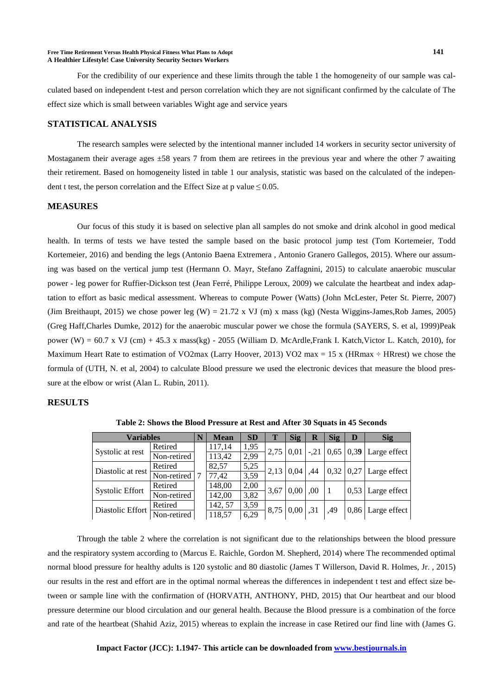#### **Free Time Retirement Versus Health Physical Fitness What Plans to Adopt 141 A Healthier Lifestyle! Case University Security Sectors Workers**

 For the credibility of our experience and these limits through the table 1 the homogeneity of our sample was calculated based on independent t-test and person correlation which they are not significant confirmed by the calculate of The effect size which is small between variables Wight age and service years

#### **STATISTICAL ANALYSIS**

 The research samples were selected by the intentional manner included 14 workers in security sector university of Mostaganem their average ages  $\pm 58$  years 7 from them are retirees in the previous year and where the other 7 awaiting their retirement. Based on homogeneity listed in table 1 our analysis, statistic was based on the calculated of the independent t test, the person correlation and the Effect Size at p value $\leq 0.05$ .

#### **MEASURES**

 Our focus of this study it is based on selective plan all samples do not smoke and drink alcohol in good medical health. In terms of tests we have tested the sample based on the basic protocol jump test (Tom Kortemeier, Todd Kortemeier, 2016) and bending the legs (Antonio Baena Extremera , Antonio Granero Gallegos, 2015). Where our assuming was based on the vertical jump test (Hermann O. Mayr, Stefano Zaffagnini, 2015) to calculate anaerobic muscular power - leg power for Ruffier-Dickson test (Jean Ferré, Philippe Leroux, 2009) we calculate the heartbeat and index adaptation to effort as basic medical assessment. Whereas to compute Power (Watts) (John McLester, Peter St. Pierre, 2007) (Jim Breithaupt, 2015) we chose power leg (W) = 21.72 x VJ (m) x mass (kg) (Nesta Wiggins-James,Rob James, 2005) (Greg Haff,Charles Dumke, 2012) for the anaerobic muscular power we chose the formula (SAYERS, S. et al, 1999)Peak power (W) =  $60.7 \times$  VJ (cm) + 45.3 x mass(kg) - 2055 (William D. McArdle, Frank I. Katch, Victor L. Katch, 2010), for Maximum Heart Rate to estimation of VO2max (Larry Hoover, 2013) VO2 max = 15 x (HRmax  $\div$  HRrest) we chose the formula of (UTH, N. et al, 2004) to calculate Blood pressure we used the electronic devices that measure the blood pressure at the elbow or wrist (Alan L. Rubin, 2011).

#### **RESULTS**

| <b>Variables</b>       |             |  | <b>Mean</b> | <b>SD</b> | Т    | Sig  | R      | <b>Sig</b> | D                     | <b>Sig</b>          |
|------------------------|-------------|--|-------------|-----------|------|------|--------|------------|-----------------------|---------------------|
| Systolic at rest       | Retired     |  | 117,14      | 1,95      | 2,75 | 0.01 | $-.21$ |            | $0,65 \mid 0,39 \mid$ | Large effect        |
|                        | Non-retired |  | 113,42      | 2,99      |      |      |        |            |                       |                     |
| Diastolic at rest      | Retired     |  | 82.57       | 5,25      | 2,13 | 0.04 | .44    | 0,32       | 0,27                  | Large effect        |
|                        | Non-retired |  | 77,42       | 3,59      |      |      |        |            |                       |                     |
| <b>Systolic Effort</b> | Retired     |  | 148,00      | 2,00      | 3,67 | 0,00 | .00.   |            | 0.53                  |                     |
|                        | Non-retired |  | 142,00      | 3,82      |      |      |        |            |                       | Large effect        |
| Diastolic Effort       | Retired     |  | 142.57      | 3,59      | 8,75 | 0,00 | ,31    | .49        |                       | $0,86$ Large effect |
|                        | Non-retired |  | 118,57      | 6,29      |      |      |        |            |                       |                     |

**Table 2: Shows the Blood Pressure at Rest and After 30 Squats in 45 Seconds** 

 Through the table 2 where the correlation is not significant due to the relationships between the blood pressure and the respiratory system according to (Marcus E. Raichle, Gordon M. Shepherd, 2014) where The recommended optimal normal blood pressure for healthy adults is 120 systolic and 80 diastolic (James T Willerson, David R. Holmes, Jr. , 2015) our results in the rest and effort are in the optimal normal whereas the differences in independent t test and effect size between or sample line with the confirmation of (HORVATH, ANTHONY, PHD, 2015) that Our heartbeat and our blood pressure determine our blood circulation and our general health. Because the Blood pressure is a combination of the force and rate of the heartbeat (Shahid Aziz, 2015) whereas to explain the increase in case Retired our find line with (James G.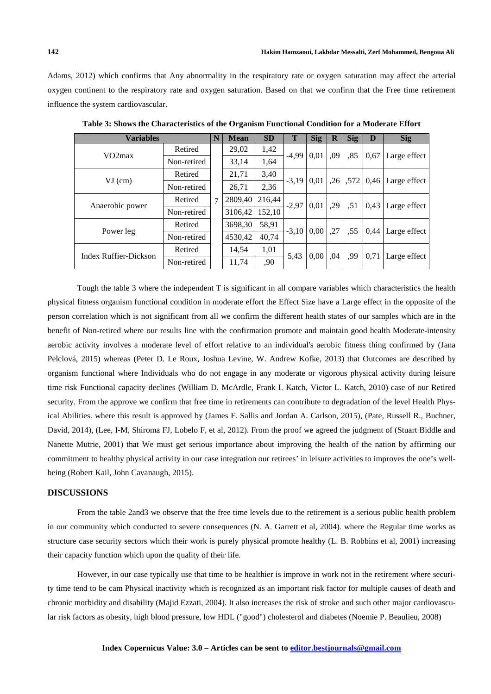Adams, 2012) which confirms that Any abnormality in the respiratory rate or oxygen saturation may affect the arterial oxygen continent to the respiratory rate and oxygen saturation. Based on that we confirm that the Free time retirement influence the system cardiovascular.

| <b>Variables</b>                                                             |             |   | <b>Mean</b> | <b>SD</b> | T       | <b>Sig</b> | $\mathbf R$ | <b>Sig</b> | D    | <b>Sig</b>   |
|------------------------------------------------------------------------------|-------------|---|-------------|-----------|---------|------------|-------------|------------|------|--------------|
|                                                                              | Retired     |   | 29,02       | 1,42      | $-4.99$ | 0,01       | .09         | ,85        | 0,67 | Large effect |
|                                                                              | Non-retired |   | 33,14       | 1,64      |         |            |             |            |      |              |
|                                                                              | Retired     |   | 21,71       | 3,40      | $-3.19$ | 0.01       | ,26         | ,572       |      | Large effect |
|                                                                              | Non-retired |   | 26,71       | 2,36      |         |            |             |            |      |              |
|                                                                              | Retired     | 7 | 2809,40     | 216,44    | $-2,97$ | 0.01       | .29         | .51        | 0,43 | Large effect |
|                                                                              | Non-retired |   | 3106,42     | 152,10    |         |            |             |            |      |              |
|                                                                              | Retired     |   | 3698,30     | 58,91     | $-3.10$ | 0.00       | ,27         | ,55        | 0,44 | Large effect |
|                                                                              | Non-retired |   | 4530,42     | 40.74     |         |            |             |            |      |              |
|                                                                              | Retired     |   | 14,54       | 1,01      | 5,43    | 0.00       | .04         | .99        | 0,71 | Large effect |
|                                                                              | Non-retired |   | 11,74       | ,90       |         |            |             |            |      |              |
| VO2max<br>$VI$ (cm)<br>Anaerobic power<br>Power leg<br>Index Ruffier-Dickson |             |   |             |           |         |            |             |            | 0,46 |              |

**Table 3: Shows the Characteristics of the Organism Functional Condition for a Moderate Effort** 

 Tough the table 3 where the independent T is significant in all compare variables which characteristics the health physical fitness organism functional condition in moderate effort the Effect Size have a Large effect in the opposite of the person correlation which is not significant from all we confirm the different health states of our samples which are in the benefit of Non-retired where our results line with the confirmation promote and maintain good health Moderate-intensity aerobic activity involves a moderate level of effort relative to an individual's aerobic fitness thing confirmed by (Jana Pelclová, 2015) whereas (Peter D. Le Roux, Joshua Levine, W. Andrew Kofke, 2013) that Outcomes are described by organism functional where Individuals who do not engage in any moderate or vigorous physical activity during leisure time risk Functional capacity declines (William D. McArdle, Frank I. Katch, Victor L. Katch, 2010) case of our Retired security. From the approve we confirm that free time in retirements can contribute to degradation of the level Health Physical Abilities. where this result is approved by (James F. Sallis and Jordan A. Carlson, 2015), (Pate, Russell R., Buchner, David, 2014), (Lee, I-M, Shiroma FJ, Lobelo F, et al, 2012). From the proof we agreed the judgment of (Stuart Biddle and Nanette Mutrie, 2001) that We must get serious importance about improving the health of the nation by affirming our commitment to healthy physical activity in our case integration our retirees' in leisure activities to improves the one's wellbeing (Robert Kail, John Cavanaugh, 2015).

## **DISCUSSIONS**

 From the table 2and3 we observe that the free time levels due to the retirement is a serious public health problem in our community which conducted to severe consequences (N. A. Garrett et al, 2004). where the Regular time works as structure case security sectors which their work is purely physical promote healthy (L. B. Robbins et al, 2001) increasing their capacity function which upon the quality of their life.

 However, in our case typically use that time to be healthier is improve in work not in the retirement where security time tend to be cam Physical inactivity which is recognized as an important risk factor for multiple causes of death and chronic morbidity and disability (Majid Ezzati, 2004). It also increases the risk of stroke and such other major cardiovascular risk factors as obesity, high blood pressure, low HDL ("good") cholesterol and diabetes (Noemie P. Beaulieu, 2008)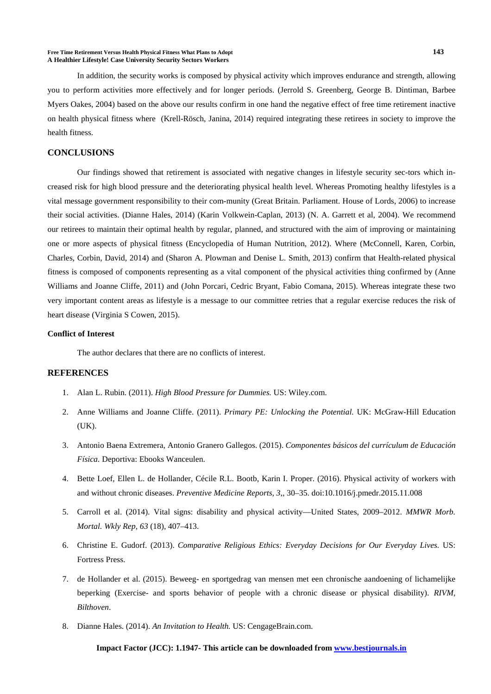#### **Free Time Retirement Versus Health Physical Fitness What Plans to Adopt 143 A Healthier Lifestyle! Case University Security Sectors Workers**

 In addition, the security works is composed by physical activity which improves endurance and strength, allowing you to perform activities more effectively and for longer periods. (Jerrold S. Greenberg, George B. Dintiman, Barbee Myers Oakes, 2004) based on the above our results confirm in one hand the negative effect of free time retirement inactive on health physical fitness where (Krell-Rösch, Janina, 2014) required integrating these retirees in society to improve the health fitness.

#### **CONCLUSIONS**

 Our findings showed that retirement is associated with negative changes in lifestyle security sec-tors which increased risk for high blood pressure and the deteriorating physical health level. Whereas Promoting healthy lifestyles is a vital message government responsibility to their com-munity (Great Britain. Parliament. House of Lords, 2006) to increase their social activities. (Dianne Hales, 2014) (Karin Volkwein-Caplan, 2013) (N. A. Garrett et al, 2004). We recommend our retirees to maintain their optimal health by regular, planned, and structured with the aim of improving or maintaining one or more aspects of physical fitness (Encyclopedia of Human Nutrition, 2012). Where (McConnell, Karen, Corbin, Charles, Corbin, David, 2014) and (Sharon A. Plowman and Denise L. Smith, 2013) confirm that Health-related physical fitness is composed of components representing as a vital component of the physical activities thing confirmed by (Anne Williams and Joanne Cliffe, 2011) and (John Porcari, Cedric Bryant, Fabio Comana, 2015). Whereas integrate these two very important content areas as lifestyle is a message to our committee retries that a regular exercise reduces the risk of heart disease (Virginia S Cowen, 2015).

#### **Conflict of Interest**

The author declares that there are no conflicts of interest.

#### **REFERENCES**

- 1. Alan L. Rubin. (2011). *High Blood Pressure for Dummies.* US: Wiley.com.
- 2. Anne Williams and Joanne Cliffe. (2011). *Primary PE: Unlocking the Potential.* UK: McGraw-Hill Education (UK).
- 3. Antonio Baena Extremera, Antonio Granero Gallegos. (2015). *Componentes básicos del currículum de Educación Física.* Deportiva: Ebooks Wanceulen.
- 4. Bette Loef, Ellen L. de Hollander, Cécile R.L. Bootb, Karin I. Proper. (2016). Physical activity of workers with and without chronic diseases. *Preventive Medicine Reports, 3,*, 30–35. doi:10.1016/j.pmedr.2015.11.008
- 5. Carroll et al. (2014). Vital signs: disability and physical activity—United States, 2009–2012. *MMWR Morb. Mortal. Wkly Rep, 63* (18), 407–413.
- 6. Christine E. Gudorf. (2013). *Comparative Religious Ethics: Everyday Decisions for Our Everyday Lives.* US: Fortress Press.
- 7. de Hollander et al. (2015). Beweeg- en sportgedrag van mensen met een chronische aandoening of lichamelijke beperking (Exercise- and sports behavior of people with a chronic disease or physical disability). *RIVM, Bilthoven*.
- 8. Dianne Hales. (2014). *An Invitation to Health.* US: CengageBrain.com.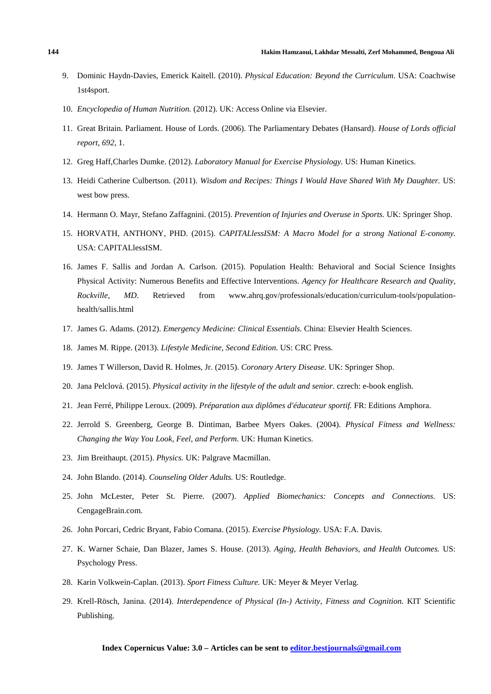- 9. Dominic Haydn-Davies, Emerick Kaitell. (2010). *Physical Education: Beyond the Curriculum.* USA: Coachwise 1st4sport.
- 10. *Encyclopedia of Human Nutrition.* (2012). UK: Access Online via Elsevier.
- 11. Great Britain. Parliament. House of Lords. (2006). The Parliamentary Debates (Hansard). *House of Lords official report, 692*, 1.
- 12. Greg Haff,Charles Dumke. (2012). *Laboratory Manual for Exercise Physiology.* US: Human Kinetics.
- 13. Heidi Catherine Culbertson. (2011). *Wisdom and Recipes: Things I Would Have Shared With My Daughter.* US: west bow press.
- 14. Hermann O. Mayr, Stefano Zaffagnini. (2015). *Prevention of Injuries and Overuse in Sports.* UK: Springer Shop.
- 15. HORVATH, ANTHONY, PHD. (2015). *CAPITALlessISM: A Macro Model for a strong National E-conomy.* USA: CAPITALlessISM.
- 16. James F. Sallis and Jordan A. Carlson. (2015). Population Health: Behavioral and Social Science Insights Physical Activity: Numerous Benefits and Effective Interventions. *Agency for Healthcare Research and Quality, Rockville, MD*. Retrieved from www.ahrq.gov/professionals/education/curriculum-tools/populationhealth/sallis.html
- 17. James G. Adams. (2012). *Emergency Medicine: Clinical Essentials.* China: Elsevier Health Sciences.
- 18. James M. Rippe. (2013). *Lifestyle Medicine, Second Edition.* US: CRC Press.
- 19. James T Willerson, David R. Holmes, Jr. (2015). *Coronary Artery Disease.* UK: Springer Shop.
- 20. Jana Pelclová. (2015). *Physical activity in the lifestyle of the adult and senior.* czrech: e-book english.
- 21. Jean Ferré, Philippe Leroux. (2009). *Préparation aux diplômes d'éducateur sportif.* FR: Editions Amphora.
- 22. Jerrold S. Greenberg, George B. Dintiman, Barbee Myers Oakes. (2004). *Physical Fitness and Wellness: Changing the Way You Look, Feel, and Perform.* UK: Human Kinetics.
- 23. Jim Breithaupt. (2015). *Physics.* UK: Palgrave Macmillan.
- 24. John Blando. (2014). *Counseling Older Adults.* US: Routledge.
- 25. John McLester, Peter St. Pierre. (2007). *Applied Biomechanics: Concepts and Connections.* US: CengageBrain.com.
- 26. John Porcari, Cedric Bryant, Fabio Comana. (2015). *Exercise Physiology.* USA: F.A. Davis.
- 27. K. Warner Schaie, Dan Blazer, James S. House. (2013). *Aging, Health Behaviors, and Health Outcomes.* US: Psychology Press.
- 28. Karin Volkwein-Caplan. (2013). *Sport Fitness Culture.* UK: Meyer & Meyer Verlag.
- 29. Krell-Rösch, Janina. (2014). *Interdependence of Physical (In-) Activity, Fitness and Cognition.* KIT Scientific Publishing.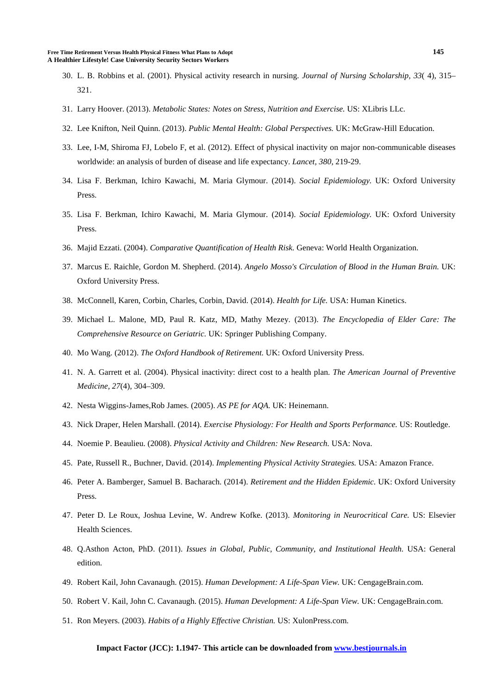- 30. L. B. Robbins et al. (2001). Physical activity research in nursing. *Journal of Nursing Scholarship, 33*( 4), 315– 321.
- 31. Larry Hoover. (2013). *Metabolic States: Notes on Stress, Nutrition and Exercise.* US: XLibris LLc.
- 32. Lee Knifton, Neil Quinn. (2013). *Public Mental Health: Global Perspectives.* UK: McGraw-Hill Education.
- 33. Lee, I-M, Shiroma FJ, Lobelo F, et al. (2012). Effect of physical inactivity on major non-communicable diseases worldwide: an analysis of burden of disease and life expectancy. *Lancet, 380*, 219-29.
- 34. Lisa F. Berkman, Ichiro Kawachi, M. Maria Glymour. (2014). *Social Epidemiology.* UK: Oxford University Press.
- 35. Lisa F. Berkman, Ichiro Kawachi, M. Maria Glymour. (2014). *Social Epidemiology.* UK: Oxford University Press.
- 36. Majid Ezzati. (2004). *Comparative Quantification of Health Risk.* Geneva: World Health Organization.
- 37. Marcus E. Raichle, Gordon M. Shepherd. (2014). *Angelo Mosso's Circulation of Blood in the Human Brain.* UK: Oxford University Press.
- 38. McConnell, Karen, Corbin, Charles, Corbin, David. (2014). *Health for Life.* USA: Human Kinetics.
- 39. Michael L. Malone, MD, Paul R. Katz, MD, Mathy Mezey. (2013). *The Encyclopedia of Elder Care: The Comprehensive Resource on Geriatric.* UK: Springer Publishing Company.
- 40. Mo Wang. (2012). *The Oxford Handbook of Retirement.* UK: Oxford University Press.
- 41. N. A. Garrett et al. (2004). Physical inactivity: direct cost to a health plan. *The American Journal of Preventive Medicine, 27*(4), 304–309.
- 42. Nesta Wiggins-James,Rob James. (2005). *AS PE for AQA.* UK: Heinemann.
- 43. Nick Draper, Helen Marshall. (2014). *Exercise Physiology: For Health and Sports Performance.* US: Routledge.
- 44. Noemie P. Beaulieu. (2008). *Physical Activity and Children: New Research.* USA: Nova.
- 45. Pate, Russell R., Buchner, David. (2014). *Implementing Physical Activity Strategies.* USA: Amazon France.
- 46. Peter A. Bamberger, Samuel B. Bacharach. (2014). *Retirement and the Hidden Epidemic.* UK: Oxford University **Press**.
- 47. Peter D. Le Roux, Joshua Levine, W. Andrew Kofke. (2013). *Monitoring in Neurocritical Care.* US: Elsevier Health Sciences.
- 48. Q.Asthon Acton, PhD. (2011). *Issues in Global, Public, Community, and Institutional Health.* USA: General edition.
- 49. Robert Kail, John Cavanaugh. (2015). *Human Development: A Life-Span View.* UK: CengageBrain.com.
- 50. Robert V. Kail, John C. Cavanaugh. (2015). *Human Development: A Life-Span View.* UK: CengageBrain.com.
- 51. Ron Meyers. (2003). *Habits of a Highly Effective Christian.* US: XulonPress.com.